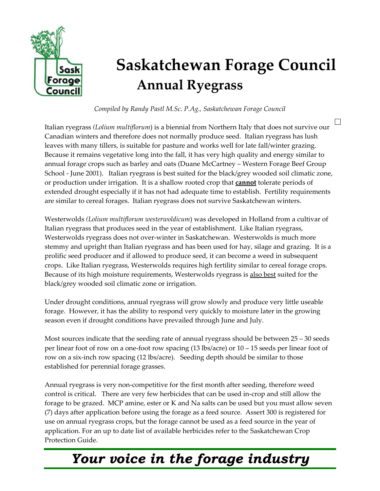

## **Saskatchewan Forage Council Annual Ryegrass**

*Compiled by Randy Pastl M.Sc. P.Ag., Saskatchewan Forage Council* 

П Italian ryegrass *(Lolium multiflorum*) is a biennial from Northern Italy that does not survive our Canadian winters and therefore does not normally produce seed. Italian ryegrass has lush leaves with many tillers, is suitable for pasture and works well for late fall/winter grazing. Because it remains vegetative long into the fall, it has very high quality and energy similar to annual forage crops such as barley and oats (Duane McCartney – Western Forage Beef Group School - June 2001). Italian ryegrass is best suited for the black/grey wooded soil climatic zone, or production under irrigation. It is a shallow rooted crop that **cannot** tolerate periods of extended drought especially if it has not had adequate time to establish. Fertility requirements are similar to cereal forages. Italian ryegrass does not survive Saskatchewan winters.

Westerwolds *(Lolium multiflorum westerwoldicum*) was developed in Holland from a cultivar of Italian ryegrass that produces seed in the year of establishment. Like Italian ryegrass, Westerwolds ryegrass does not over-winter in Saskatchewan. Westerwolds is much more stemmy and upright than Italian ryegrass and has been used for hay, silage and grazing. It is a prolific seed producer and if allowed to produce seed, it can become a weed in subsequent crops. Like Italian ryegrass, Westerwolds requires high fertility similar to cereal forage crops. Because of its high moisture requirements, Westerwolds ryegrass is also best suited for the black/grey wooded soil climatic zone or irrigation.

Under drought conditions, annual ryegrass will grow slowly and produce very little useable forage. However, it has the ability to respond very quickly to moisture later in the growing season even if drought conditions have prevailed through June and July.

Most sources indicate that the seeding rate of annual ryegrass should be between  $25 - 30$  seeds per linear foot of row on a one-foot row spacing (13 lbs/acre) or 10 – 15 seeds per linear foot of row on a six-inch row spacing (12 lbs/acre). Seeding depth should be similar to those established for perennial forage grasses.

Annual ryegrass is very non-competitive for the first month after seeding, therefore weed control is critical. There are very few herbicides that can be used in-crop and still allow the forage to be grazed. MCP amine, ester or K and Na salts can be used but you must allow seven (7) days after application before using the forage as a feed source. Assert 300 is registered for use on annual ryegrass crops, but the forage cannot be used as a feed source in the year of application. For an up to date list of available herbicides refer to the Saskatchewan Crop Protection Guide.

## *Your voice in the forage industry*